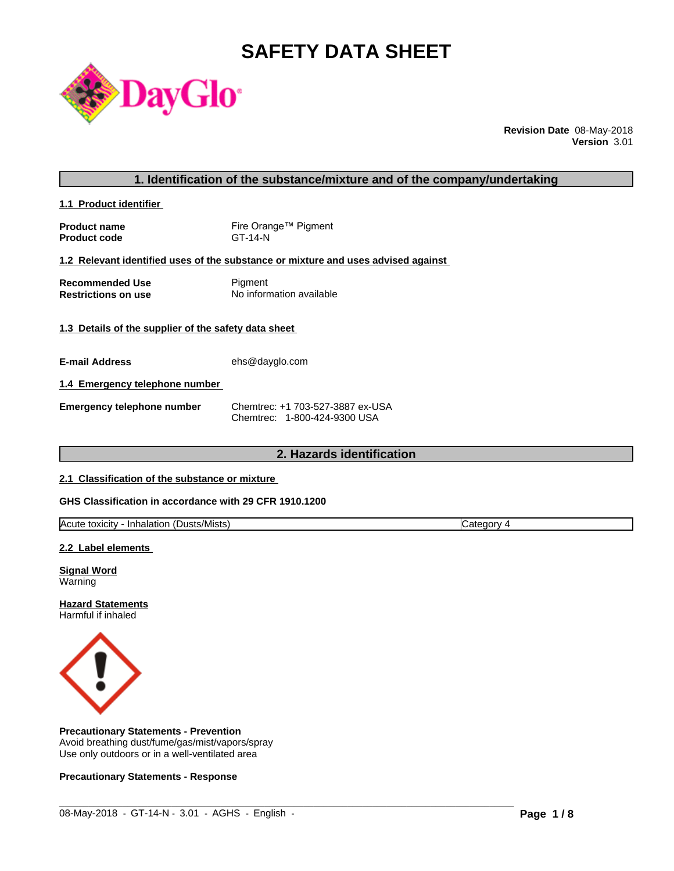# **SAFETY DATA SHEET**



**Revision Date** 08-May-2018 **Version** 3.01

#### **1. Identification of the substance/mixture and of the company/undertaking**

**1.1 Product identifier** 

**Product name** Fire Orange™ Pigment **Product code** GT-14-N

#### **1.2 Relevant identified uses of the substance or mixture and uses advised against**

**Recommended Use Pigment Restrictions on use** No information available

#### **1.3 Details of the supplier of the safety data sheet**

**E-mail Address** ehs@dayglo.com

#### **1.4 Emergency telephone number**

**Emergency telephone number** Chemtrec: +1 703-527-3887 ex-USA Chemtrec: 1-800-424-9300 USA

# **2. Hazards identification**

#### **2.1 Classification of the substance or mixture**

#### **GHS Classification in accordance with 29 CFR 1910.1200**

| <b>Acute</b><br>. .<br>:Dusts/Mists<br>toxicity<br>Inhalation<br>oto<br>eaor<br>. valt |
|----------------------------------------------------------------------------------------|
|----------------------------------------------------------------------------------------|

 $\_$  ,  $\_$  ,  $\_$  ,  $\_$  ,  $\_$  ,  $\_$  ,  $\_$  ,  $\_$  ,  $\_$  ,  $\_$  ,  $\_$  ,  $\_$  ,  $\_$  ,  $\_$  ,  $\_$  ,  $\_$  ,  $\_$  ,  $\_$  ,  $\_$  ,  $\_$  ,  $\_$  ,  $\_$  ,  $\_$  ,  $\_$  ,  $\_$  ,  $\_$  ,  $\_$  ,  $\_$  ,  $\_$  ,  $\_$  ,  $\_$  ,  $\_$  ,  $\_$  ,  $\_$  ,  $\_$  ,  $\_$  ,  $\_$  ,

#### **2.2 Label elements**

**Signal Word** Warning

**Hazard Statements** Harmful if inhaled



#### **Precautionary Statements - Prevention**

Avoid breathing dust/fume/gas/mist/vapors/spray Use only outdoors or in a well-ventilated area

#### **Precautionary Statements - Response**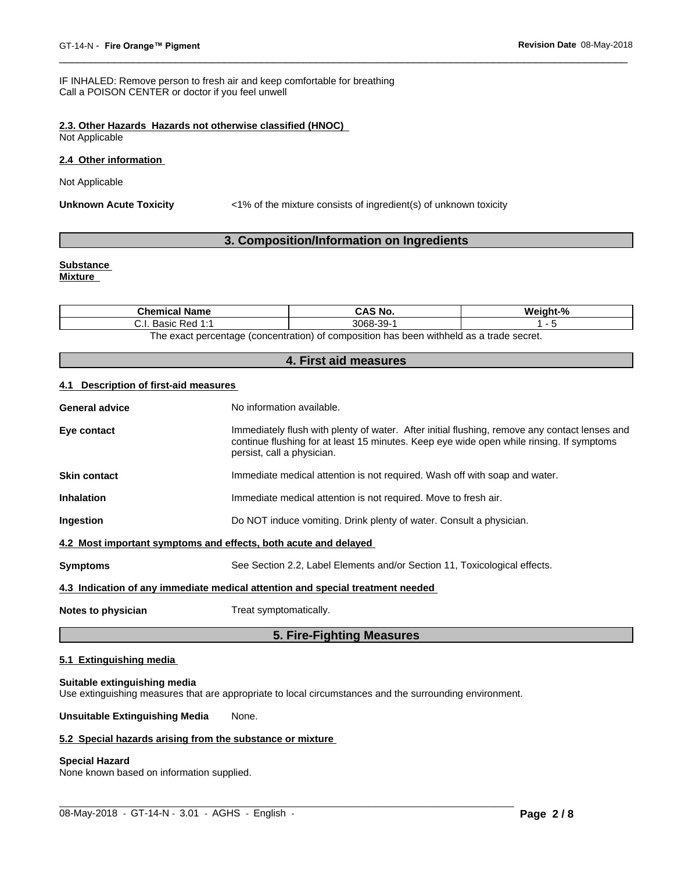IF INHALED: Remove person to fresh air and keep comfortable for breathing Call a POISON CENTER or doctor if you feel unwell

### **2.3. Other Hazards Hazards not otherwise classified (HNOC)**

Not Applicable

#### **2.4 Other information**

Not Applicable

**Unknown Acute Toxicity** <1% of the mixture consists of ingredient(s) of unknown toxicity

### **3. Composition/Information on Ingredients**

# **Substance**

**Mixture**

| <b>Chemical Name</b>                                                                    | CAS No.                      | $\mathbf{a}$ |
|-----------------------------------------------------------------------------------------|------------------------------|--------------|
| $D \cap A$ 4 $\sim$<br>منصدد<br>DdSIU<br>$n$ - $n$ - $n$ - $n$<br>ن.                    | $\sim$<br>3068-<br>N-<br>w., |              |
| The event perceptage (conceptration) of composition has been withhold as a trade coeret |                              |              |

The exact percentage (concentration) of composition has been withheld as a trade secret.

#### **4. First aid measures**

#### **4.1 Description of first-aid measures**

|                       | 5. Fire-Fighting Measures                                                                                                                                                                                               |
|-----------------------|-------------------------------------------------------------------------------------------------------------------------------------------------------------------------------------------------------------------------|
| Notes to physician    | Treat symptomatically.                                                                                                                                                                                                  |
|                       | 4.3 Indication of any immediate medical attention and special treatment needed                                                                                                                                          |
| <b>Symptoms</b>       | See Section 2.2, Label Elements and/or Section 11, Toxicological effects.                                                                                                                                               |
|                       | 4.2 Most important symptoms and effects, both acute and delayed                                                                                                                                                         |
| Ingestion             | Do NOT induce vomiting. Drink plenty of water. Consult a physician.                                                                                                                                                     |
| <b>Inhalation</b>     | Immediate medical attention is not required. Move to fresh air.                                                                                                                                                         |
| <b>Skin contact</b>   | Immediate medical attention is not required. Wash off with soap and water.                                                                                                                                              |
| Eye contact           | Immediately flush with plenty of water. After initial flushing, remove any contact lenses and<br>continue flushing for at least 15 minutes. Keep eye wide open while rinsing. If symptoms<br>persist, call a physician. |
| <b>General advice</b> | No information available.                                                                                                                                                                                               |
|                       |                                                                                                                                                                                                                         |

### **5.1 Extinguishing media**

#### **Suitable extinguishing media**

Use extinguishing measures that are appropriate to local circumstances and the surrounding environment.

**Unsuitable Extinguishing Media** None.

#### **5.2 Special hazards arising from the substance or mixture**

### **Special Hazard**

None known based on information supplied.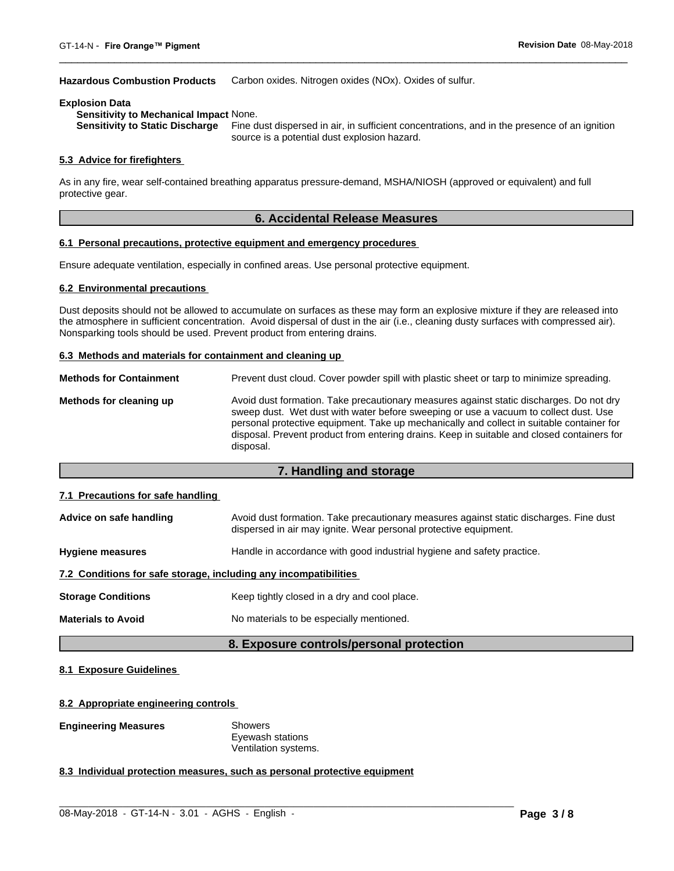#### **Hazardous Combustion Products** Carbon oxides. Nitrogen oxides (NOx). Oxides of sulfur.

#### **Explosion Data**

**Sensitivity to Mechanical Impact** None.

Fine dust dispersed in air, in sufficient concentrations, and in the presence of an ignition source is a potential dust explosion hazard.

#### **5.3 Advice for firefighters**

As in any fire, wear self-contained breathing apparatus pressure-demand, MSHA/NIOSH (approved or equivalent) and full protective gear.

### **6. Accidental Release Measures**

#### **6.1 Personal precautions, protective equipment and emergency procedures**

Ensure adequate ventilation, especially in confined areas. Use personal protective equipment.

#### **6.2 Environmental precautions**

Dust deposits should not be allowed to accumulate on surfaces as these may form an explosive mixture if they are released into the atmosphere in sufficient concentration. Avoid dispersal of dust in the air (i.e., cleaning dusty surfaces with compressed air). Nonsparking tools should be used. Prevent product from entering drains.

#### **6.3 Methods and materials for containment and cleaning up**

| <b>Methods for Containment</b> | Prevent dust cloud. Cover powder spill with plastic sheet or tarp to minimize spreading.                                                                                                                                                                                                                                                                                                |
|--------------------------------|-----------------------------------------------------------------------------------------------------------------------------------------------------------------------------------------------------------------------------------------------------------------------------------------------------------------------------------------------------------------------------------------|
| Methods for cleaning up        | Avoid dust formation. Take precautionary measures against static discharges. Do not dry<br>sweep dust. Wet dust with water before sweeping or use a vacuum to collect dust. Use<br>personal protective equipment. Take up mechanically and collect in suitable container for<br>disposal. Prevent product from entering drains. Keep in suitable and closed containers for<br>disposal. |

#### **7. Handling and storage**

#### **7.1 Precautions for safe handling**

| Advice on safe handling                                          | Avoid dust formation. Take precautionary measures against static discharges. Fine dust<br>dispersed in air may ignite. Wear personal protective equipment. |  |  |
|------------------------------------------------------------------|------------------------------------------------------------------------------------------------------------------------------------------------------------|--|--|
| <b>Hygiene measures</b>                                          | Handle in accordance with good industrial hygiene and safety practice.                                                                                     |  |  |
| 7.2 Conditions for safe storage, including any incompatibilities |                                                                                                                                                            |  |  |
| <b>Storage Conditions</b>                                        | Keep tightly closed in a dry and cool place.                                                                                                               |  |  |
| <b>Materials to Avoid</b>                                        | No materials to be especially mentioned.                                                                                                                   |  |  |

#### **8. Exposure controls/personal protection**

 $\_$  ,  $\_$  ,  $\_$  ,  $\_$  ,  $\_$  ,  $\_$  ,  $\_$  ,  $\_$  ,  $\_$  ,  $\_$  ,  $\_$  ,  $\_$  ,  $\_$  ,  $\_$  ,  $\_$  ,  $\_$  ,  $\_$  ,  $\_$  ,  $\_$  ,  $\_$  ,  $\_$  ,  $\_$  ,  $\_$  ,  $\_$  ,  $\_$  ,  $\_$  ,  $\_$  ,  $\_$  ,  $\_$  ,  $\_$  ,  $\_$  ,  $\_$  ,  $\_$  ,  $\_$  ,  $\_$  ,  $\_$  ,  $\_$  ,

#### **8.1 Exposure Guidelines**

#### **8.2 Appropriate engineering controls**

#### **Engineering Measures** Showers

Eyewash stations Ventilation systems.

#### **8.3 Individual protection measures, such as personal protective equipment**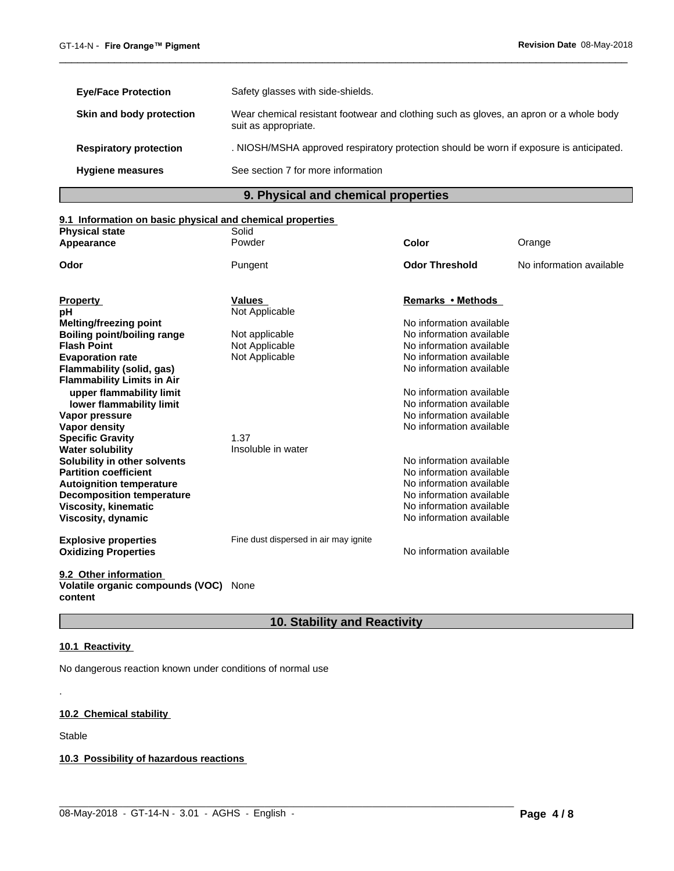| <b>Eye/Face Protection</b>    | Safety glasses with side-shields.                                                                              |
|-------------------------------|----------------------------------------------------------------------------------------------------------------|
| Skin and body protection      | Wear chemical resistant footwear and clothing such as gloves, an apron or a whole body<br>suit as appropriate. |
| <b>Respiratory protection</b> | . NIOSH/MSHA approved respiratory protection should be worn if exposure is anticipated.                        |
| <b>Hygiene measures</b>       | See section 7 for more information                                                                             |

# **9. Physical and chemical properties**

# **9.1 Information on basic physical and chemical properties**

| <b>Physical state</b>             | Solid                                 |                          |                          |
|-----------------------------------|---------------------------------------|--------------------------|--------------------------|
| Appearance                        | Powder                                | Color                    | Orange                   |
| Odor                              | Pungent                               | <b>Odor Threshold</b>    | No information available |
|                                   |                                       |                          |                          |
| <b>Property</b>                   | Values                                | Remarks • Methods        |                          |
| рH                                | Not Applicable                        |                          |                          |
| <b>Melting/freezing point</b>     |                                       | No information available |                          |
| Boiling point/boiling range       | Not applicable                        | No information available |                          |
| <b>Flash Point</b>                | Not Applicable                        | No information available |                          |
| <b>Evaporation rate</b>           | Not Applicable                        | No information available |                          |
| Flammability (solid, gas)         |                                       | No information available |                          |
| <b>Flammability Limits in Air</b> |                                       |                          |                          |
| upper flammability limit          |                                       | No information available |                          |
| lower flammability limit          |                                       | No information available |                          |
| Vapor pressure                    |                                       | No information available |                          |
| Vapor density                     |                                       | No information available |                          |
| <b>Specific Gravity</b>           | 1.37                                  |                          |                          |
| <b>Water solubility</b>           | Insoluble in water                    |                          |                          |
| Solubility in other solvents      |                                       | No information available |                          |
| <b>Partition coefficient</b>      |                                       | No information available |                          |
| <b>Autoignition temperature</b>   |                                       | No information available |                          |
| <b>Decomposition temperature</b>  |                                       | No information available |                          |
| <b>Viscosity, kinematic</b>       |                                       | No information available |                          |
| Viscosity, dynamic                |                                       | No information available |                          |
|                                   |                                       |                          |                          |
| <b>Explosive properties</b>       | Fine dust dispersed in air may ignite |                          |                          |
| <b>Oxidizing Properties</b>       |                                       | No information available |                          |
| 9.2 Other information             |                                       |                          |                          |
| Volatile organic compounds (VOC)  | None                                  |                          |                          |

**content**

# **10. Stability and Reactivity**

 $\_$  ,  $\_$  ,  $\_$  ,  $\_$  ,  $\_$  ,  $\_$  ,  $\_$  ,  $\_$  ,  $\_$  ,  $\_$  ,  $\_$  ,  $\_$  ,  $\_$  ,  $\_$  ,  $\_$  ,  $\_$  ,  $\_$  ,  $\_$  ,  $\_$  ,  $\_$  ,  $\_$  ,  $\_$  ,  $\_$  ,  $\_$  ,  $\_$  ,  $\_$  ,  $\_$  ,  $\_$  ,  $\_$  ,  $\_$  ,  $\_$  ,  $\_$  ,  $\_$  ,  $\_$  ,  $\_$  ,  $\_$  ,  $\_$  ,

### **10.1 Reactivity**

No dangerous reaction known under conditions of normal use

# **10.2 Chemical stability**

Stable

.

**10.3 Possibility of hazardous reactions**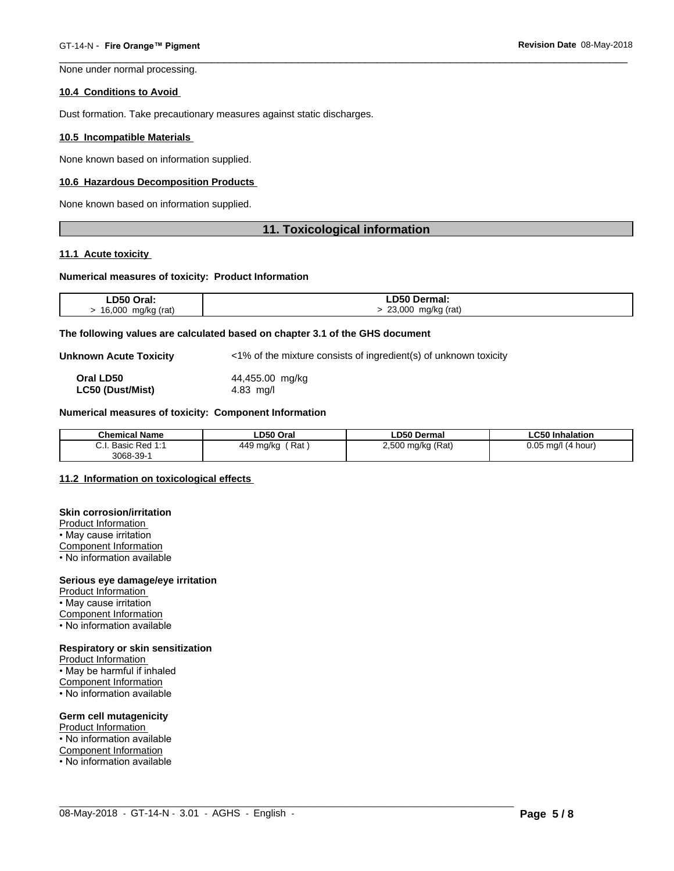None under normal processing.

#### **10.4 Conditions to Avoid**

Dust formation. Take precautionary measures against static discharges.

#### **10.5 Incompatible Materials**

None known based on information supplied.

#### **10.6 Hazardous Decomposition Products**

None known based on information supplied.

#### **11. Toxicological information**

#### **11.1 Acute toxicity**

#### **Numerical measures of toxicity: Product Information**

| LD50 Oral:         | <b>LD50 Dermal:</b> |
|--------------------|---------------------|
| 16,000 mg/kg (rat) | 23,000 mg/kg (rat)  |

#### **The following values are calculated based on chapter 3.1 of the GHS document**

**Unknown Acute Toxicity**  $\langle 1\% \rangle$  of the mixture consists of ingredient(s) of unknown toxicity

**Oral LD50** 44,455.00 mg/kg **LC50 (Dust/Mist)** 4.83 mg/l

#### **Numerical measures of toxicity: Component Information**

| <b>Chemical Name</b>                              | LD50 Oral             | ∟D50 Dermal                       | <b>CEAL.</b><br>Inhalation |
|---------------------------------------------------|-----------------------|-----------------------------------|----------------------------|
| ⌒<br>D 1<br>$P_{0}$<br><b>D</b> asic<br>υ.ι.<br>. | 449<br>Rat<br>∣ ma/kc | <sup>)</sup> mg/kg (Rat)<br>חחף כ | 0.05<br>(4 hour)<br>ma/l   |
| 3068-39-                                          |                       |                                   |                            |

 $\_$  ,  $\_$  ,  $\_$  ,  $\_$  ,  $\_$  ,  $\_$  ,  $\_$  ,  $\_$  ,  $\_$  ,  $\_$  ,  $\_$  ,  $\_$  ,  $\_$  ,  $\_$  ,  $\_$  ,  $\_$  ,  $\_$  ,  $\_$  ,  $\_$  ,  $\_$  ,  $\_$  ,  $\_$  ,  $\_$  ,  $\_$  ,  $\_$  ,  $\_$  ,  $\_$  ,  $\_$  ,  $\_$  ,  $\_$  ,  $\_$  ,  $\_$  ,  $\_$  ,  $\_$  ,  $\_$  ,  $\_$  ,  $\_$  ,

#### **11.2 Information on toxicologicaleffects**

#### **Skin corrosion/irritation**

Product Information • May cause irritation Component Information

• No information available

#### **Serious eye damage/eye irritation**

Product Information • May cause irritation Component Information • No information available

# **Respiratory or skin sensitization**

Product Information • May be harmful if inhaled Component Information • No information available

#### **Germ cell mutagenicity**

Product Information • No information available Component Information • No information available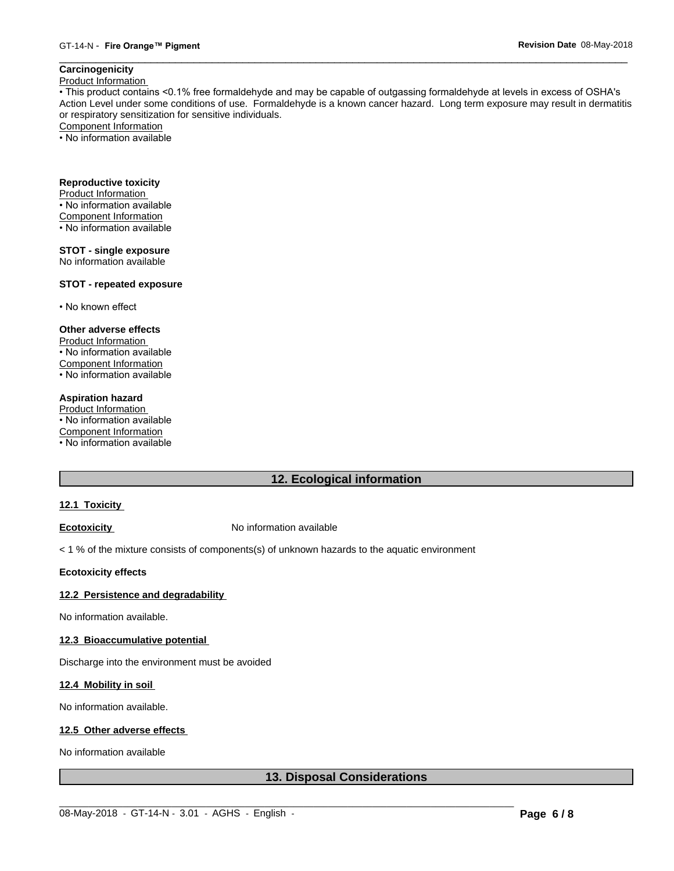# **Carcinogenicity**

Product Information

• This product contains <0.1% free formaldehyde and may be capable of outgassing formaldehyde at levels in excess of OSHA's Action Level under some conditions of use. Formaldehyde is a known cancer hazard. Long term exposure may result in dermatitis or respiratory sensitization for sensitive individuals.Component Information

• No information available

# **Reproductive toxicity**

Product Information • No information available

- Component Information
- No information available
- 

# **STOT - single exposure**

No information available

#### **STOT - repeated exposure**

• No known effect

### **Other adverse effects**

Product Information • No information available Component Information • No information available

#### **Aspiration hazard**

Product Information • No information available Component Information • No information available

# **12. Ecological information**

#### **12.1 Toxicity**

**Ecotoxicity No information available** 

< 1 % of the mixture consists of components(s) of unknown hazards to the aquatic environment

#### **Ecotoxicity effects**

#### **12.2 Persistence and degradability**

No information available.

#### **12.3 Bioaccumulative potential**

Discharge into the environment must be avoided

#### **12.4 Mobility in soil**

No information available.

#### **12.5 Other adverse effects**

No information available

# **13. Disposal Considerations**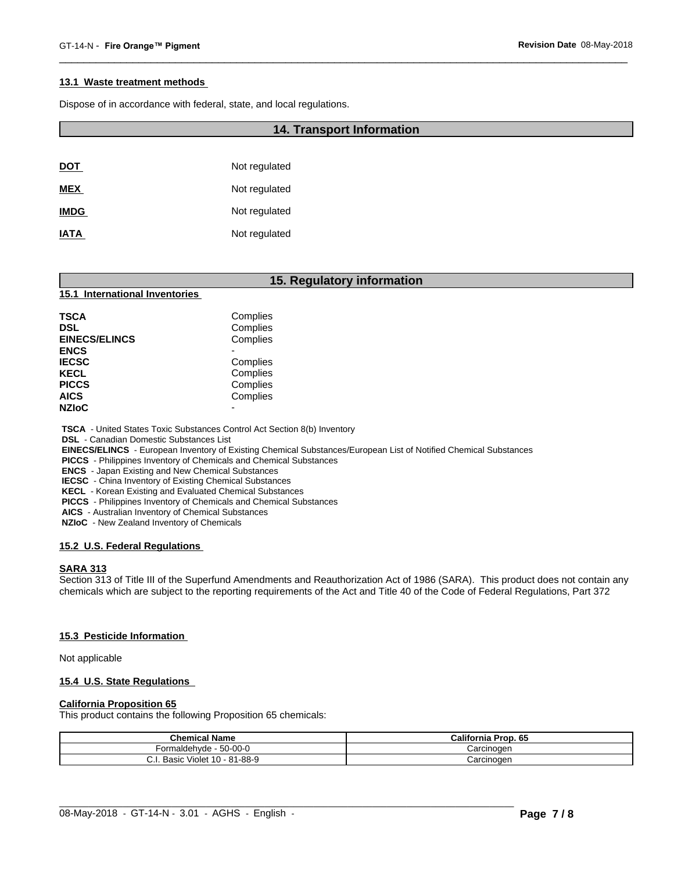#### **13.1 Waste treatment methods**

Dispose of in accordance with federal, state, and local regulations.

#### **14. Transport Information**

| <b>DOT</b>  | Not regulated |
|-------------|---------------|
| <b>MEX</b>  | Not regulated |
| <b>IMDG</b> | Not regulated |
| <b>IATA</b> | Not regulated |

#### **15. Regulatory information**

#### **15.1 International Inventories**

| Complies |
|----------|
| Complies |
| Complies |
|          |
| Complies |
| Complies |
| Complies |
| Complies |
|          |
|          |

 **TSCA** - United States Toxic Substances Control Act Section 8(b) Inventory

 **DSL** - Canadian Domestic Substances List

 **EINECS/ELINCS** - European Inventory of Existing Chemical Substances/European List of Notified Chemical Substances

 **PICCS** - Philippines Inventory of Chemicals and Chemical Substances

 **ENCS** - Japan Existing and New Chemical Substances

 **IECSC** - China Inventory of Existing Chemical Substances

 **KECL** - Korean Existing and Evaluated Chemical Substances

 **PICCS** - Philippines Inventory of Chemicals and Chemical Substances

 **AICS** - Australian Inventory of Chemical Substances

 **NZIoC** - New Zealand Inventory of Chemicals

#### **15.2 U.S. Federal Regulations**

#### **SARA 313**

Section 313 of Title III of the Superfund Amendments and Reauthorization Act of 1986 (SARA). This product does not contain any chemicals which are subject to the reporting requirements of the Act and Title 40 of the Code of Federal Regulations, Part 372

#### **15.3 Pesticide Information**

Not applicable

#### **15.4 U.S. State Regulations**

#### **California Proposition 65**

This product contains the following Proposition 65 chemicals:

| <b>Chemical Name</b>                  | California Prop. 65 |
|---------------------------------------|---------------------|
| Formaldehyde - 50-00-0                | Carcinoger          |
| Violet 10 - 81-88-9<br>Basic<br>v. I. | Carcinogen          |

 $\_$  ,  $\_$  ,  $\_$  ,  $\_$  ,  $\_$  ,  $\_$  ,  $\_$  ,  $\_$  ,  $\_$  ,  $\_$  ,  $\_$  ,  $\_$  ,  $\_$  ,  $\_$  ,  $\_$  ,  $\_$  ,  $\_$  ,  $\_$  ,  $\_$  ,  $\_$  ,  $\_$  ,  $\_$  ,  $\_$  ,  $\_$  ,  $\_$  ,  $\_$  ,  $\_$  ,  $\_$  ,  $\_$  ,  $\_$  ,  $\_$  ,  $\_$  ,  $\_$  ,  $\_$  ,  $\_$  ,  $\_$  ,  $\_$  ,